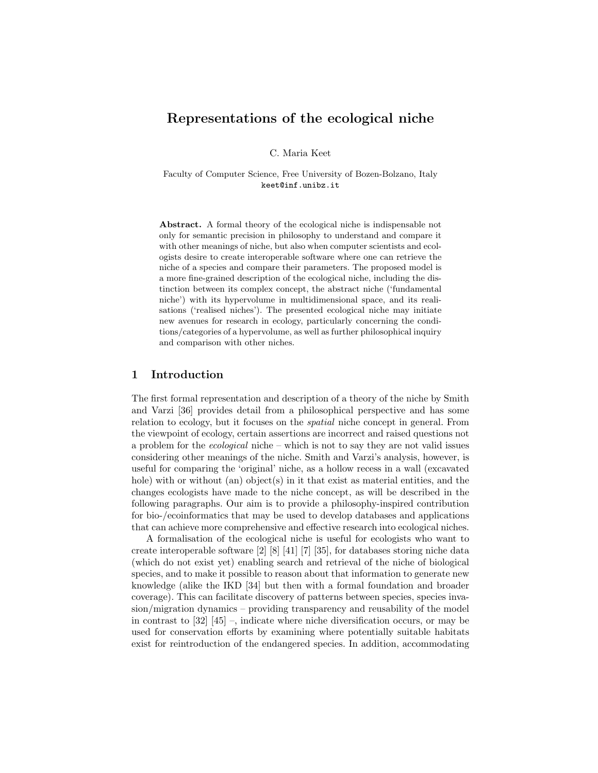# Representations of the ecological niche

C. Maria Keet

Faculty of Computer Science, Free University of Bozen-Bolzano, Italy keet@inf.unibz.it

Abstract. A formal theory of the ecological niche is indispensable not only for semantic precision in philosophy to understand and compare it with other meanings of niche, but also when computer scientists and ecologists desire to create interoperable software where one can retrieve the niche of a species and compare their parameters. The proposed model is a more fine-grained description of the ecological niche, including the distinction between its complex concept, the abstract niche ('fundamental niche') with its hypervolume in multidimensional space, and its realisations ('realised niches'). The presented ecological niche may initiate new avenues for research in ecology, particularly concerning the conditions/categories of a hypervolume, as well as further philosophical inquiry and comparison with other niches.

## 1 Introduction

The first formal representation and description of a theory of the niche by Smith and Varzi [36] provides detail from a philosophical perspective and has some relation to ecology, but it focuses on the spatial niche concept in general. From the viewpoint of ecology, certain assertions are incorrect and raised questions not a problem for the ecological niche – which is not to say they are not valid issues considering other meanings of the niche. Smith and Varzi's analysis, however, is useful for comparing the 'original' niche, as a hollow recess in a wall (excavated hole) with or without (an) object(s) in it that exist as material entities, and the changes ecologists have made to the niche concept, as will be described in the following paragraphs. Our aim is to provide a philosophy-inspired contribution for bio-/ecoinformatics that may be used to develop databases and applications that can achieve more comprehensive and effective research into ecological niches.

A formalisation of the ecological niche is useful for ecologists who want to create interoperable software [2] [8] [41] [7] [35], for databases storing niche data (which do not exist yet) enabling search and retrieval of the niche of biological species, and to make it possible to reason about that information to generate new knowledge (alike the IKD [34] but then with a formal foundation and broader coverage). This can facilitate discovery of patterns between species, species invasion/migration dynamics – providing transparency and reusability of the model in contrast to  $[32]$   $[45]$  –, indicate where niche diversification occurs, or may be used for conservation efforts by examining where potentially suitable habitats exist for reintroduction of the endangered species. In addition, accommodating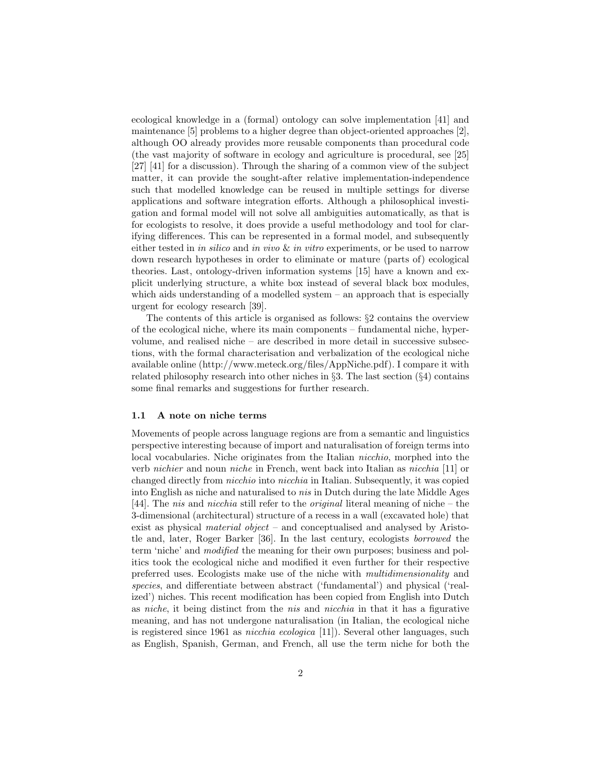ecological knowledge in a (formal) ontology can solve implementation [41] and maintenance [5] problems to a higher degree than object-oriented approaches [2], although OO already provides more reusable components than procedural code (the vast majority of software in ecology and agriculture is procedural, see [25] [27] [41] for a discussion). Through the sharing of a common view of the subject matter, it can provide the sought-after relative implementation-independence such that modelled knowledge can be reused in multiple settings for diverse applications and software integration efforts. Although a philosophical investigation and formal model will not solve all ambiguities automatically, as that is for ecologists to resolve, it does provide a useful methodology and tool for clarifying differences. This can be represented in a formal model, and subsequently either tested in in silico and in vivo  $\&$  in vitro experiments, or be used to narrow down research hypotheses in order to eliminate or mature (parts of) ecological theories. Last, ontology-driven information systems [15] have a known and explicit underlying structure, a white box instead of several black box modules, which aids understanding of a modelled system – an approach that is especially urgent for ecology research [39].

The contents of this article is organised as follows: §2 contains the overview of the ecological niche, where its main components – fundamental niche, hypervolume, and realised niche – are described in more detail in successive subsections, with the formal characterisation and verbalization of the ecological niche available online (http://www.meteck.org/files/AppNiche.pdf). I compare it with related philosophy research into other niches in §3. The last section (§4) contains some final remarks and suggestions for further research.

### 1.1 A note on niche terms

Movements of people across language regions are from a semantic and linguistics perspective interesting because of import and naturalisation of foreign terms into local vocabularies. Niche originates from the Italian nicchio, morphed into the verb nichier and noun niche in French, went back into Italian as nicchia [11] or changed directly from nicchio into nicchia in Italian. Subsequently, it was copied into English as niche and naturalised to nis in Dutch during the late Middle Ages [44]. The nis and nicchia still refer to the original literal meaning of niche – the 3-dimensional (architectural) structure of a recess in a wall (excavated hole) that exist as physical material object – and conceptualised and analysed by Aristotle and, later, Roger Barker [36]. In the last century, ecologists borrowed the term 'niche' and modified the meaning for their own purposes; business and politics took the ecological niche and modified it even further for their respective preferred uses. Ecologists make use of the niche with multidimensionality and species, and differentiate between abstract ('fundamental') and physical ('realized') niches. This recent modification has been copied from English into Dutch as niche, it being distinct from the nis and nicchia in that it has a figurative meaning, and has not undergone naturalisation (in Italian, the ecological niche is registered since 1961 as nicchia ecologica [11]). Several other languages, such as English, Spanish, German, and French, all use the term niche for both the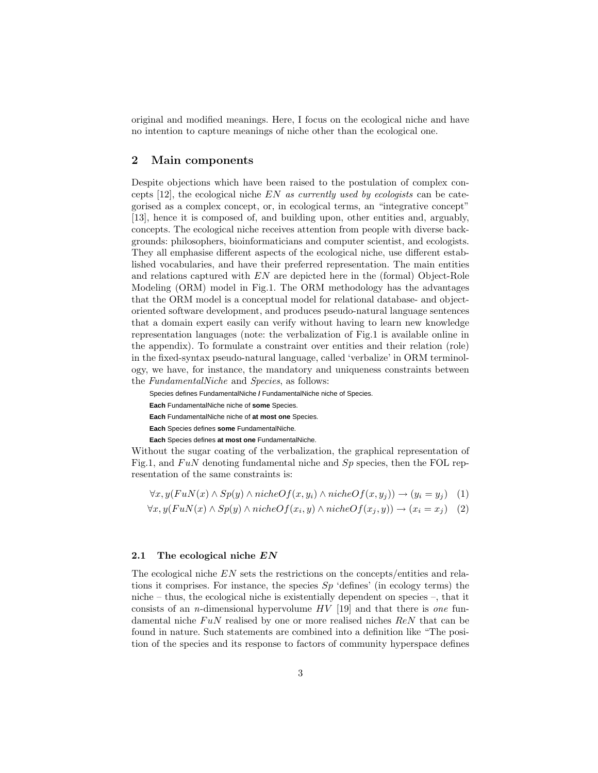original and modified meanings. Here, I focus on the ecological niche and have no intention to capture meanings of niche other than the ecological one.

## 2 Main components

Despite objections which have been raised to the postulation of complex concepts  $[12]$ , the ecological niche EN as currently used by ecologists can be categorised as a complex concept, or, in ecological terms, an "integrative concept" [13], hence it is composed of, and building upon, other entities and, arguably, concepts. The ecological niche receives attention from people with diverse backgrounds: philosophers, bioinformaticians and computer scientist, and ecologists. They all emphasise different aspects of the ecological niche, use different established vocabularies, and have their preferred representation. The main entities and relations captured with EN are depicted here in the (formal) Object-Role Modeling (ORM) model in Fig.1. The ORM methodology has the advantages that the ORM model is a conceptual model for relational database- and objectoriented software development, and produces pseudo-natural language sentences that a domain expert easily can verify without having to learn new knowledge representation languages (note: the verbalization of Fig.1 is available online in the appendix). To formulate a constraint over entities and their relation (role) in the fixed-syntax pseudo-natural language, called 'verbalize' in ORM terminology, we have, for instance, the mandatory and uniqueness constraints between the FundamentalNiche and Species, as follows:

Species defines FundamentalNiche **/** FundamentalNiche niche of Species. **Each** FundamentalNiche niche of **some** Species. **Each** FundamentalNiche niche of **at most one** Species. **Each** Species defines **some** FundamentalNiche. **Each** Species defines **at most one** FundamentalNiche.

Without the sugar coating of the verbalization, the graphical representation of Fig.1, and  $FuN$  denoting fundamental niche and  $Sp$  species, then the FOL representation of the same constraints is:

$$
\forall x, y(FuN(x) \land Sp(y) \land nicheOf(x, y_i) \land nicheOf(x, y_j)) \rightarrow (y_i = y_j) \quad (1)
$$
  

$$
\forall x, y(FuN(x) \land Sp(y) \land nicheOf(x_i, y) \land nicheOf(x_j, y)) \rightarrow (x_i = x_j) \quad (2)
$$

#### 2.1 The ecological niche  $EN$

The ecological niche EN sets the restrictions on the concepts/entities and relations it comprises. For instance, the species  $Sp$  'defines' (in ecology terms) the niche – thus, the ecological niche is existentially dependent on species –, that it consists of an *n*-dimensional hypervolume  $HV$  [19] and that there is one fundamental niche  $FuN$  realised by one or more realised niches  $ReN$  that can be found in nature. Such statements are combined into a definition like "The position of the species and its response to factors of community hyperspace defines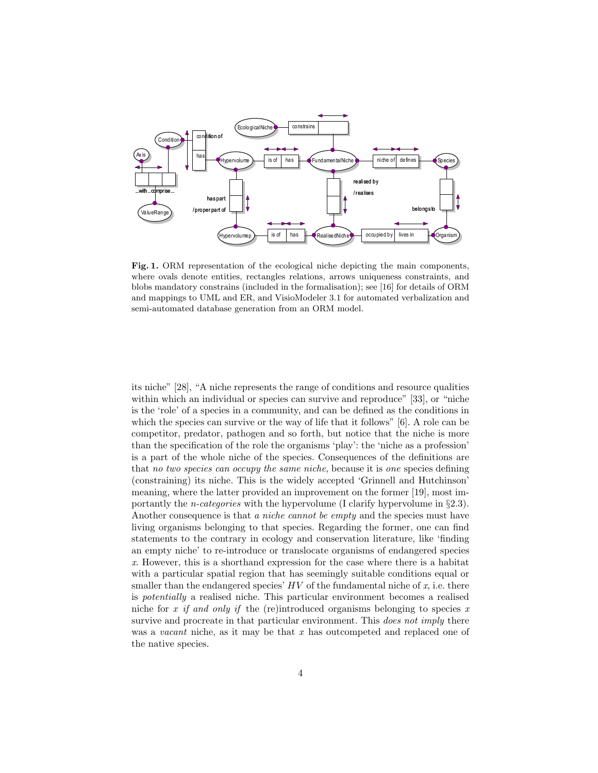

Fig. 1. ORM representation of the ecological niche depicting the main components, where ovals denote entities, rectangles relations, arrows uniqueness constraints, and blobs mandatory constrains (included in the formalisation); see [16] for details of ORM and mappings to UML and ER, and VisioModeler 3.1 for automated verbalization and semi-automated database generation from an ORM model.

its niche" [28], "A niche represents the range of conditions and resource qualities within which an individual or species can survive and reproduce" [33], or "niche is the 'role' of a species in a community, and can be defined as the conditions in which the species can survive or the way of life that it follows" [6]. A role can be competitor, predator, pathogen and so forth, but notice that the niche is more than the specification of the role the organisms 'play': the 'niche as a profession' is a part of the whole niche of the species. Consequences of the definitions are that no two species can occupy the same niche, because it is one species defining (constraining) its niche. This is the widely accepted 'Grinnell and Hutchinson' meaning, where the latter provided an improvement on the former [19], most importantly the *n-categories* with the hypervolume (I clarify hypervolume in  $\S 2.3$ ). Another consequence is that a niche cannot be empty and the species must have living organisms belonging to that species. Regarding the former, one can find statements to the contrary in ecology and conservation literature, like 'finding an empty niche' to re-introduce or translocate organisms of endangered species x. However, this is a shorthand expression for the case where there is a habitat with a particular spatial region that has seemingly suitable conditions equal or smaller than the endangered species'  $HV$  of the fundamental niche of  $x$ , i.e. there is potentially a realised niche. This particular environment becomes a realised niche for x if and only if the (re)introduced organisms belonging to species x survive and procreate in that particular environment. This *does not imply* there was a *vacant* niche, as it may be that  $x$  has outcompeted and replaced one of the native species.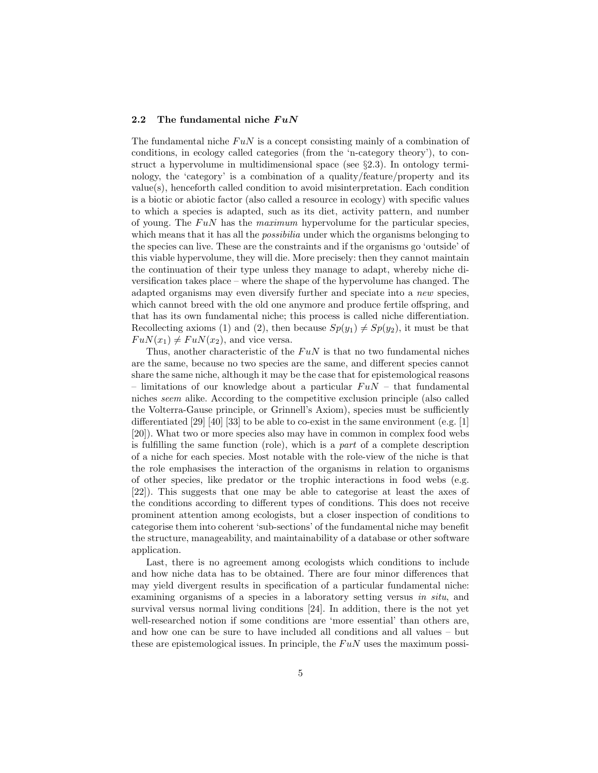### 2.2 The fundamental niche  $FuN$

The fundamental niche  $FuN$  is a concept consisting mainly of a combination of conditions, in ecology called categories (from the 'n-category theory'), to construct a hypervolume in multidimensional space (see  $\S 2.3$ ). In ontology terminology, the 'category' is a combination of a quality/feature/property and its value(s), henceforth called condition to avoid misinterpretation. Each condition is a biotic or abiotic factor (also called a resource in ecology) with specific values to which a species is adapted, such as its diet, activity pattern, and number of young. The  $F uN$  has the maximum hypervolume for the particular species, which means that it has all the *possibilia* under which the organisms belonging to the species can live. These are the constraints and if the organisms go 'outside' of this viable hypervolume, they will die. More precisely: then they cannot maintain the continuation of their type unless they manage to adapt, whereby niche diversification takes place – where the shape of the hypervolume has changed. The adapted organisms may even diversify further and speciate into a new species, which cannot breed with the old one anymore and produce fertile offspring, and that has its own fundamental niche; this process is called niche differentiation. Recollecting axioms (1) and (2), then because  $Sp(y_1) \neq Sp(y_2)$ , it must be that  $FuN(x_1) \neq FuN(x_2)$ , and vice versa.

Thus, another characteristic of the  $F u N$  is that no two fundamental niches are the same, because no two species are the same, and different species cannot share the same niche, although it may be the case that for epistemological reasons – limitations of our knowledge about a particular  $FuN$  – that fundamental niches seem alike. According to the competitive exclusion principle (also called the Volterra-Gause principle, or Grinnell's Axiom), species must be sufficiently differentiated [29] [40] [33] to be able to co-exist in the same environment (e.g. [1] [20]). What two or more species also may have in common in complex food webs is fulfilling the same function (role), which is a part of a complete description of a niche for each species. Most notable with the role-view of the niche is that the role emphasises the interaction of the organisms in relation to organisms of other species, like predator or the trophic interactions in food webs (e.g. [22]). This suggests that one may be able to categorise at least the axes of the conditions according to different types of conditions. This does not receive prominent attention among ecologists, but a closer inspection of conditions to categorise them into coherent 'sub-sections' of the fundamental niche may benefit the structure, manageability, and maintainability of a database or other software application.

Last, there is no agreement among ecologists which conditions to include and how niche data has to be obtained. There are four minor differences that may yield divergent results in specification of a particular fundamental niche: examining organisms of a species in a laboratory setting versus in situ, and survival versus normal living conditions [24]. In addition, there is the not yet well-researched notion if some conditions are 'more essential' than others are, and how one can be sure to have included all conditions and all values – but these are epistemological issues. In principle, the  $FuN$  uses the maximum possi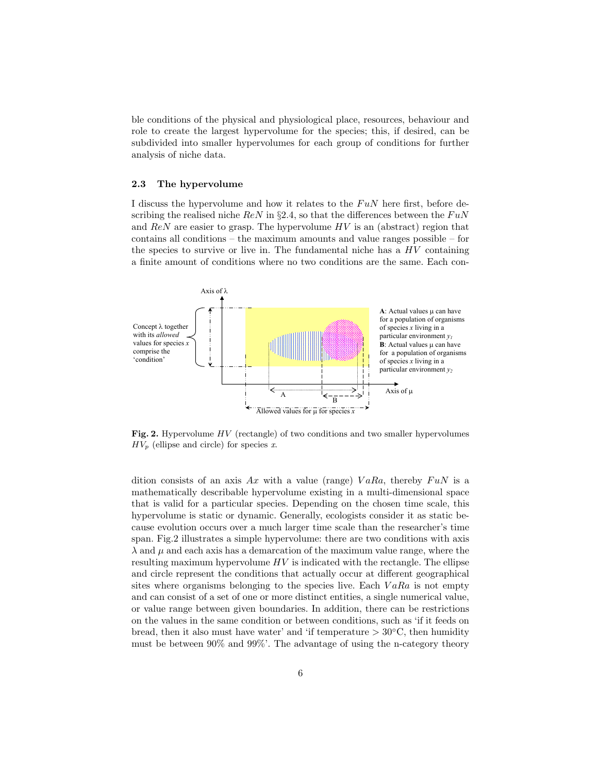ble conditions of the physical and physiological place, resources, behaviour and role to create the largest hypervolume for the species; this, if desired, can be subdivided into smaller hypervolumes for each group of conditions for further analysis of niche data.

#### 2.3 The hypervolume

I discuss the hypervolume and how it relates to the  $FuN$  here first, before describing the realised niche  $ReN$  in §2.4, so that the differences between the  $FuN$ and  $ReN$  are easier to grasp. The hypervolume  $HV$  is an (abstract) region that contains all conditions – the maximum amounts and value ranges possible – for the species to survive or live in. The fundamental niche has a  $HV$  containing a finite amount of conditions where no two conditions are the same. Each con-



Fig. 2. Hypervolume  $HV$  (rectangle) of two conditions and two smaller hypervolumes  $HV_p$  (ellipse and circle) for species x.

dition consists of an axis Ax with a value (range)  $VaRa$ , thereby  $FuN$  is a mathematically describable hypervolume existing in a multi-dimensional space that is valid for a particular species. Depending on the chosen time scale, this hypervolume is static or dynamic. Generally, ecologists consider it as static because evolution occurs over a much larger time scale than the researcher's time span. Fig.2 illustrates a simple hypervolume: there are two conditions with axis  $\lambda$  and  $\mu$  and each axis has a demarcation of the maximum value range, where the resulting maximum hypervolume  $HV$  is indicated with the rectangle. The ellipse and circle represent the conditions that actually occur at different geographical sites where organisms belonging to the species live. Each  $VaRa$  is not empty and can consist of a set of one or more distinct entities, a single numerical value, or value range between given boundaries. In addition, there can be restrictions on the values in the same condition or between conditions, such as 'if it feeds on bread, then it also must have water' and 'if temperature  $> 30^{\circ}$ C, then humidity must be between 90% and 99%'. The advantage of using the n-category theory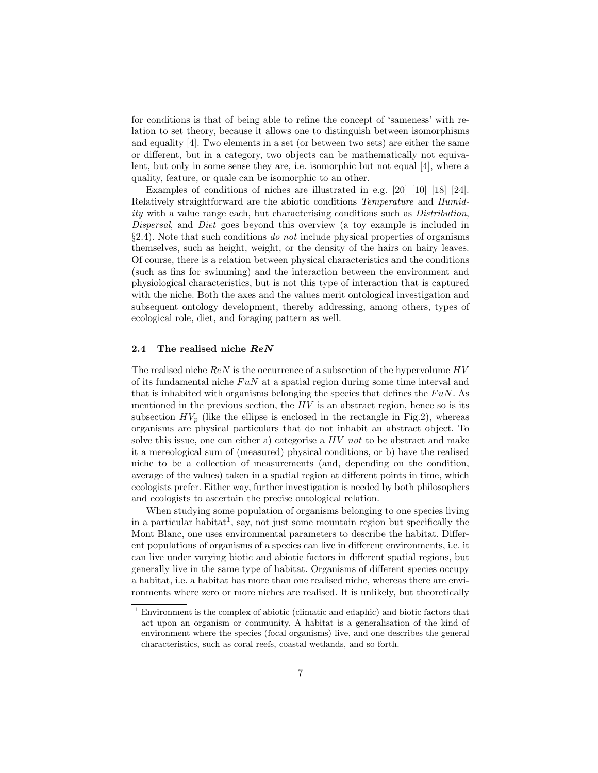for conditions is that of being able to refine the concept of 'sameness' with relation to set theory, because it allows one to distinguish between isomorphisms and equality [4]. Two elements in a set (or between two sets) are either the same or different, but in a category, two objects can be mathematically not equivalent, but only in some sense they are, i.e. isomorphic but not equal [4], where a quality, feature, or quale can be isomorphic to an other.

Examples of conditions of niches are illustrated in e.g. [20] [10] [18] [24]. Relatively straightforward are the abiotic conditions Temperature and Humidity with a value range each, but characterising conditions such as Distribution, Dispersal, and Diet goes beyond this overview (a toy example is included in  $\S 2.4$ ). Note that such conditions do not include physical properties of organisms themselves, such as height, weight, or the density of the hairs on hairy leaves. Of course, there is a relation between physical characteristics and the conditions (such as fins for swimming) and the interaction between the environment and physiological characteristics, but is not this type of interaction that is captured with the niche. Both the axes and the values merit ontological investigation and subsequent ontology development, thereby addressing, among others, types of ecological role, diet, and foraging pattern as well.

# 2.4 The realised niche ReN

The realised niche  $ReN$  is the occurrence of a subsection of the hypervolume  $HV$ of its fundamental niche  $FuN$  at a spatial region during some time interval and that is inhabited with organisms belonging the species that defines the  $F uN$ . As mentioned in the previous section, the  $HV$  is an abstract region, hence so is its subsection  $HV_p$  (like the ellipse is enclosed in the rectangle in Fig.2), whereas organisms are physical particulars that do not inhabit an abstract object. To solve this issue, one can either a) categorise a  $HV$  not to be abstract and make it a mereological sum of (measured) physical conditions, or b) have the realised niche to be a collection of measurements (and, depending on the condition, average of the values) taken in a spatial region at different points in time, which ecologists prefer. Either way, further investigation is needed by both philosophers and ecologists to ascertain the precise ontological relation.

When studying some population of organisms belonging to one species living in a particular habitat<sup>1</sup>, say, not just some mountain region but specifically the Mont Blanc, one uses environmental parameters to describe the habitat. Different populations of organisms of a species can live in different environments, i.e. it can live under varying biotic and abiotic factors in different spatial regions, but generally live in the same type of habitat. Organisms of different species occupy a habitat, i.e. a habitat has more than one realised niche, whereas there are environments where zero or more niches are realised. It is unlikely, but theoretically

<sup>1</sup> Environment is the complex of abiotic (climatic and edaphic) and biotic factors that act upon an organism or community. A habitat is a generalisation of the kind of environment where the species (focal organisms) live, and one describes the general characteristics, such as coral reefs, coastal wetlands, and so forth.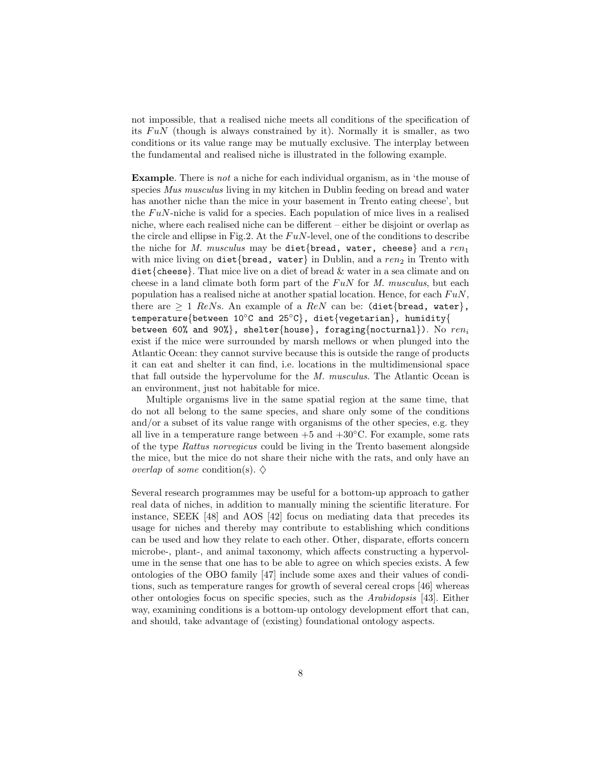not impossible, that a realised niche meets all conditions of the specification of its  $F u N$  (though is always constrained by it). Normally it is smaller, as two conditions or its value range may be mutually exclusive. The interplay between the fundamental and realised niche is illustrated in the following example.

Example. There is not a niche for each individual organism, as in 'the mouse of species Mus musculus living in my kitchen in Dublin feeding on bread and water has another niche than the mice in your basement in Trento eating cheese', but the  $FuN$ -niche is valid for a species. Each population of mice lives in a realised niche, where each realised niche can be different – either be disjoint or overlap as the circle and ellipse in Fig.2. At the  $FuN$ -level, one of the conditions to describe the niche for M. musculus may be diet{bread, water, cheese} and a ren<sub>1</sub> with mice living on diet{bread, water} in Dublin, and a ren<sub>2</sub> in Trento with diet{cheese}. That mice live on a diet of bread  $\&$  water in a sea climate and on cheese in a land climate both form part of the  $F u N$  for M. musculus, but each population has a realised niche at another spatial location. Hence, for each  $FuN$ , there are  $\geq 1$  ReNs. An example of a ReN can be: (diet{bread, water}, temperature{between 10◦C and 25◦C}, diet{vegetarian}, humidity{ between 60% and 90%}, shelter{house}, foraging{nocturnal}). No  $ren_i$ exist if the mice were surrounded by marsh mellows or when plunged into the Atlantic Ocean: they cannot survive because this is outside the range of products it can eat and shelter it can find, i.e. locations in the multidimensional space that fall outside the hypervolume for the M. musculus. The Atlantic Ocean is an environment, just not habitable for mice.

Multiple organisms live in the same spatial region at the same time, that do not all belong to the same species, and share only some of the conditions and/or a subset of its value range with organisms of the other species, e.g. they all live in a temperature range between  $+5$  and  $+30^{\circ}$ C. For example, some rats of the type Rattus norvegicus could be living in the Trento basement alongside the mice, but the mice do not share their niche with the rats, and only have an *overlap* of *some* condition(s).  $\diamondsuit$ 

Several research programmes may be useful for a bottom-up approach to gather real data of niches, in addition to manually mining the scientific literature. For instance, SEEK [48] and AOS [42] focus on mediating data that precedes its usage for niches and thereby may contribute to establishing which conditions can be used and how they relate to each other. Other, disparate, efforts concern microbe-, plant-, and animal taxonomy, which affects constructing a hypervolume in the sense that one has to be able to agree on which species exists. A few ontologies of the OBO family [47] include some axes and their values of conditions, such as temperature ranges for growth of several cereal crops [46] whereas other ontologies focus on specific species, such as the Arabidopsis [43]. Either way, examining conditions is a bottom-up ontology development effort that can, and should, take advantage of (existing) foundational ontology aspects.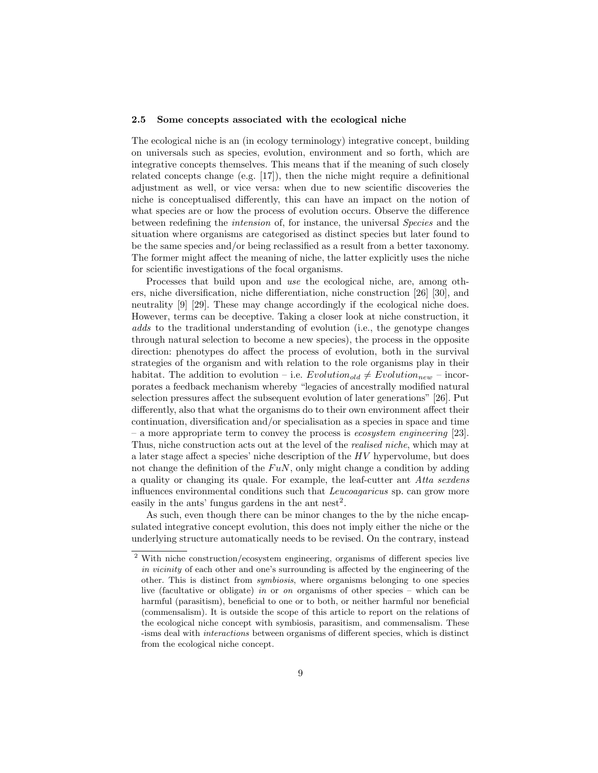#### 2.5 Some concepts associated with the ecological niche

The ecological niche is an (in ecology terminology) integrative concept, building on universals such as species, evolution, environment and so forth, which are integrative concepts themselves. This means that if the meaning of such closely related concepts change (e.g. [17]), then the niche might require a definitional adjustment as well, or vice versa: when due to new scientific discoveries the niche is conceptualised differently, this can have an impact on the notion of what species are or how the process of evolution occurs. Observe the difference between redefining the intension of, for instance, the universal Species and the situation where organisms are categorised as distinct species but later found to be the same species and/or being reclassified as a result from a better taxonomy. The former might affect the meaning of niche, the latter explicitly uses the niche for scientific investigations of the focal organisms.

Processes that build upon and use the ecological niche, are, among others, niche diversification, niche differentiation, niche construction [26] [30], and neutrality [9] [29]. These may change accordingly if the ecological niche does. However, terms can be deceptive. Taking a closer look at niche construction, it adds to the traditional understanding of evolution (i.e., the genotype changes through natural selection to become a new species), the process in the opposite direction: phenotypes do affect the process of evolution, both in the survival strategies of the organism and with relation to the role organisms play in their habitat. The addition to evolution – i.e.  $Evolution_{old} \neq Evolution_{new}$  – incorporates a feedback mechanism whereby "legacies of ancestrally modified natural selection pressures affect the subsequent evolution of later generations" [26]. Put differently, also that what the organisms do to their own environment affect their continuation, diversification and/or specialisation as a species in space and time – a more appropriate term to convey the process is *ecosystem engineering* [23]. Thus, niche construction acts out at the level of the realised niche, which may at a later stage affect a species' niche description of the HV hypervolume, but does not change the definition of the  $FuN$ , only might change a condition by adding a quality or changing its quale. For example, the leaf-cutter ant Atta sexdens influences environmental conditions such that Leucoagaricus sp. can grow more easily in the ants' fungus gardens in the ant nest<sup>2</sup>.

As such, even though there can be minor changes to the by the niche encapsulated integrative concept evolution, this does not imply either the niche or the underlying structure automatically needs to be revised. On the contrary, instead

<sup>&</sup>lt;sup>2</sup> With niche construction/ecosystem engineering, organisms of different species live in vicinity of each other and one's surrounding is affected by the engineering of the other. This is distinct from symbiosis, where organisms belonging to one species live (facultative or obligate) in or on organisms of other species – which can be harmful (parasitism), beneficial to one or to both, or neither harmful nor beneficial (commensalism). It is outside the scope of this article to report on the relations of the ecological niche concept with symbiosis, parasitism, and commensalism. These -isms deal with interactions between organisms of different species, which is distinct from the ecological niche concept.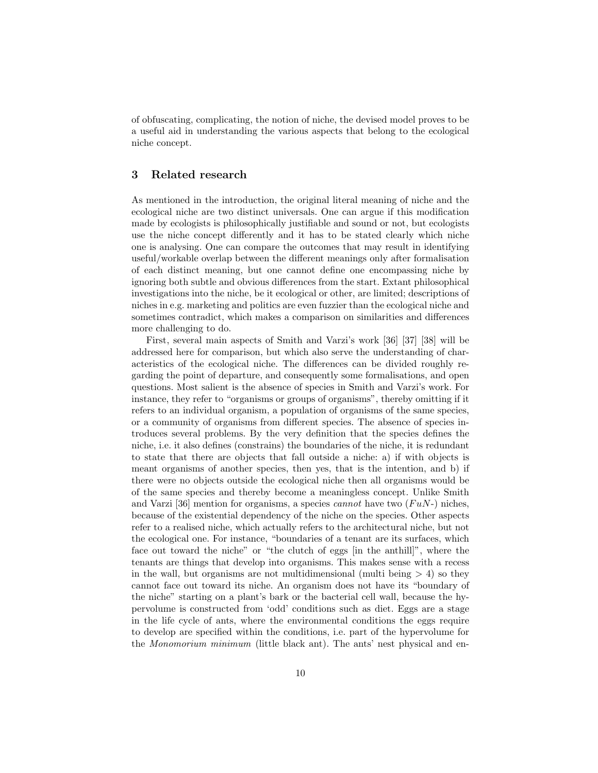of obfuscating, complicating, the notion of niche, the devised model proves to be a useful aid in understanding the various aspects that belong to the ecological niche concept.

## 3 Related research

As mentioned in the introduction, the original literal meaning of niche and the ecological niche are two distinct universals. One can argue if this modification made by ecologists is philosophically justifiable and sound or not, but ecologists use the niche concept differently and it has to be stated clearly which niche one is analysing. One can compare the outcomes that may result in identifying useful/workable overlap between the different meanings only after formalisation of each distinct meaning, but one cannot define one encompassing niche by ignoring both subtle and obvious differences from the start. Extant philosophical investigations into the niche, be it ecological or other, are limited; descriptions of niches in e.g. marketing and politics are even fuzzier than the ecological niche and sometimes contradict, which makes a comparison on similarities and differences more challenging to do.

First, several main aspects of Smith and Varzi's work [36] [37] [38] will be addressed here for comparison, but which also serve the understanding of characteristics of the ecological niche. The differences can be divided roughly regarding the point of departure, and consequently some formalisations, and open questions. Most salient is the absence of species in Smith and Varzi's work. For instance, they refer to "organisms or groups of organisms", thereby omitting if it refers to an individual organism, a population of organisms of the same species, or a community of organisms from different species. The absence of species introduces several problems. By the very definition that the species defines the niche, i.e. it also defines (constrains) the boundaries of the niche, it is redundant to state that there are objects that fall outside a niche: a) if with objects is meant organisms of another species, then yes, that is the intention, and b) if there were no objects outside the ecological niche then all organisms would be of the same species and thereby become a meaningless concept. Unlike Smith and Varzi [36] mention for organisms, a species *cannot* have two  $(FuN)$  niches, because of the existential dependency of the niche on the species. Other aspects refer to a realised niche, which actually refers to the architectural niche, but not the ecological one. For instance, "boundaries of a tenant are its surfaces, which face out toward the niche" or "the clutch of eggs [in the anthill]", where the tenants are things that develop into organisms. This makes sense with a recess in the wall, but organisms are not multidimensional (multi being  $> 4$ ) so they cannot face out toward its niche. An organism does not have its "boundary of the niche" starting on a plant's bark or the bacterial cell wall, because the hypervolume is constructed from 'odd' conditions such as diet. Eggs are a stage in the life cycle of ants, where the environmental conditions the eggs require to develop are specified within the conditions, i.e. part of the hypervolume for the Monomorium minimum (little black ant). The ants' nest physical and en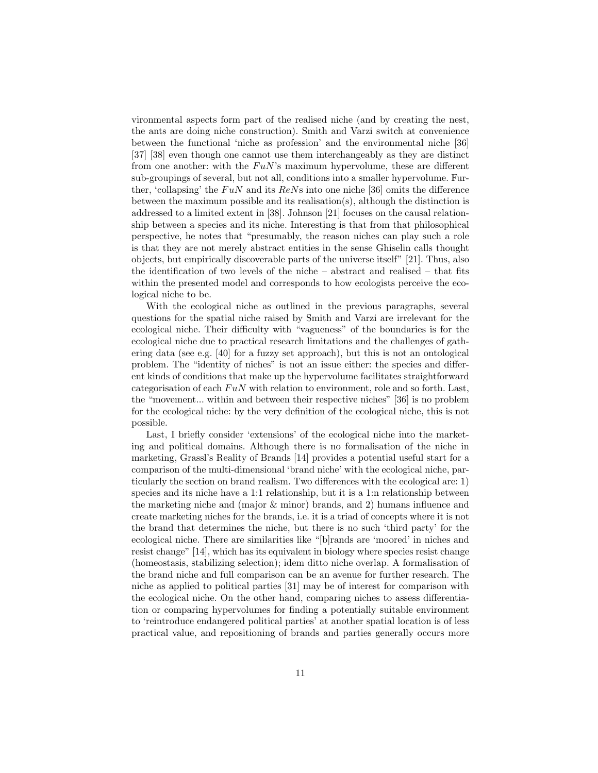vironmental aspects form part of the realised niche (and by creating the nest, the ants are doing niche construction). Smith and Varzi switch at convenience between the functional 'niche as profession' and the environmental niche [36] [37] [38] even though one cannot use them interchangeably as they are distinct from one another: with the  $FuN$ 's maximum hypervolume, these are different sub-groupings of several, but not all, conditions into a smaller hypervolume. Further, 'collapsing' the  $FuN$  and its  $ReNs$  into one niche [36] omits the difference between the maximum possible and its realisation(s), although the distinction is addressed to a limited extent in [38]. Johnson [21] focuses on the causal relationship between a species and its niche. Interesting is that from that philosophical perspective, he notes that "presumably, the reason niches can play such a role is that they are not merely abstract entities in the sense Ghiselin calls thought objects, but empirically discoverable parts of the universe itself" [21]. Thus, also the identification of two levels of the niche – abstract and realised – that fits within the presented model and corresponds to how ecologists perceive the ecological niche to be.

With the ecological niche as outlined in the previous paragraphs, several questions for the spatial niche raised by Smith and Varzi are irrelevant for the ecological niche. Their difficulty with "vagueness" of the boundaries is for the ecological niche due to practical research limitations and the challenges of gathering data (see e.g. [40] for a fuzzy set approach), but this is not an ontological problem. The "identity of niches" is not an issue either: the species and different kinds of conditions that make up the hypervolume facilitates straightforward categorisation of each  $FuN$  with relation to environment, role and so forth. Last, the "movement... within and between their respective niches" [36] is no problem for the ecological niche: by the very definition of the ecological niche, this is not possible.

Last, I briefly consider 'extensions' of the ecological niche into the marketing and political domains. Although there is no formalisation of the niche in marketing, Grassl's Reality of Brands [14] provides a potential useful start for a comparison of the multi-dimensional 'brand niche' with the ecological niche, particularly the section on brand realism. Two differences with the ecological are: 1) species and its niche have a 1:1 relationship, but it is a 1:n relationship between the marketing niche and (major  $\&$  minor) brands, and 2) humans influence and create marketing niches for the brands, i.e. it is a triad of concepts where it is not the brand that determines the niche, but there is no such 'third party' for the ecological niche. There are similarities like "[b]rands are 'moored' in niches and resist change" [14], which has its equivalent in biology where species resist change (homeostasis, stabilizing selection); idem ditto niche overlap. A formalisation of the brand niche and full comparison can be an avenue for further research. The niche as applied to political parties [31] may be of interest for comparison with the ecological niche. On the other hand, comparing niches to assess differentiation or comparing hypervolumes for finding a potentially suitable environment to 'reintroduce endangered political parties' at another spatial location is of less practical value, and repositioning of brands and parties generally occurs more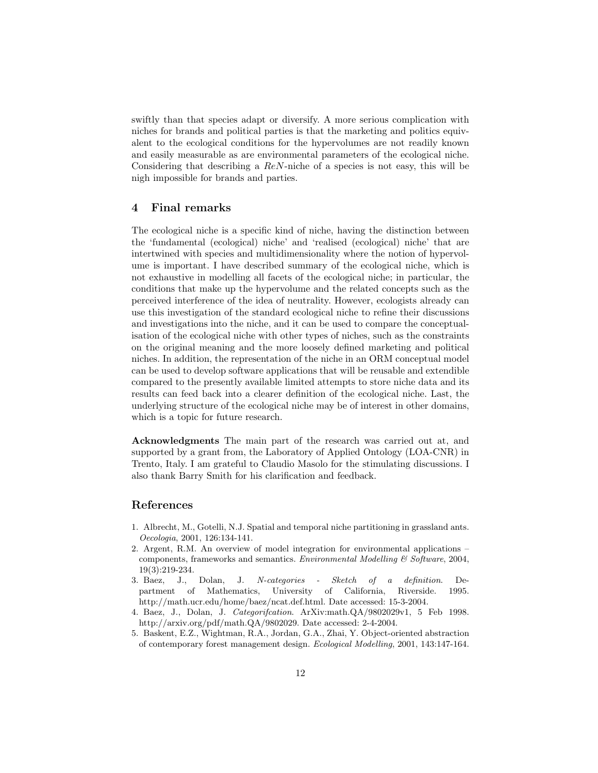swiftly than that species adapt or diversify. A more serious complication with niches for brands and political parties is that the marketing and politics equivalent to the ecological conditions for the hypervolumes are not readily known and easily measurable as are environmental parameters of the ecological niche. Considering that describing a ReN-niche of a species is not easy, this will be nigh impossible for brands and parties.

## 4 Final remarks

The ecological niche is a specific kind of niche, having the distinction between the 'fundamental (ecological) niche' and 'realised (ecological) niche' that are intertwined with species and multidimensionality where the notion of hypervolume is important. I have described summary of the ecological niche, which is not exhaustive in modelling all facets of the ecological niche; in particular, the conditions that make up the hypervolume and the related concepts such as the perceived interference of the idea of neutrality. However, ecologists already can use this investigation of the standard ecological niche to refine their discussions and investigations into the niche, and it can be used to compare the conceptualisation of the ecological niche with other types of niches, such as the constraints on the original meaning and the more loosely defined marketing and political niches. In addition, the representation of the niche in an ORM conceptual model can be used to develop software applications that will be reusable and extendible compared to the presently available limited attempts to store niche data and its results can feed back into a clearer definition of the ecological niche. Last, the underlying structure of the ecological niche may be of interest in other domains, which is a topic for future research.

Acknowledgments The main part of the research was carried out at, and supported by a grant from, the Laboratory of Applied Ontology (LOA-CNR) in Trento, Italy. I am grateful to Claudio Masolo for the stimulating discussions. I also thank Barry Smith for his clarification and feedback.

## References

- 1. Albrecht, M., Gotelli, N.J. Spatial and temporal niche partitioning in grassland ants. Oecologia, 2001, 126:134-141.
- 2. Argent, R.M. An overview of model integration for environmental applications components, frameworks and semantics. *Environmental Modelling*  $\mathcal{C}$  *Software*, 2004, 19(3):219-234.
- 3. Baez, J., Dolan, J. N-categories Sketch of a definition. Department of Mathematics, University of California, Riverside. 1995. http://math.ucr.edu/home/baez/ncat.def.html. Date accessed: 15-3-2004.
- 4. Baez, J., Dolan, J. Categorifcation. ArXiv:math.QA/9802029v1, 5 Feb 1998. http://arxiv.org/pdf/math.QA/9802029. Date accessed: 2-4-2004.
- 5. Baskent, E.Z., Wightman, R.A., Jordan, G.A., Zhai, Y. Object-oriented abstraction of contemporary forest management design. Ecological Modelling, 2001, 143:147-164.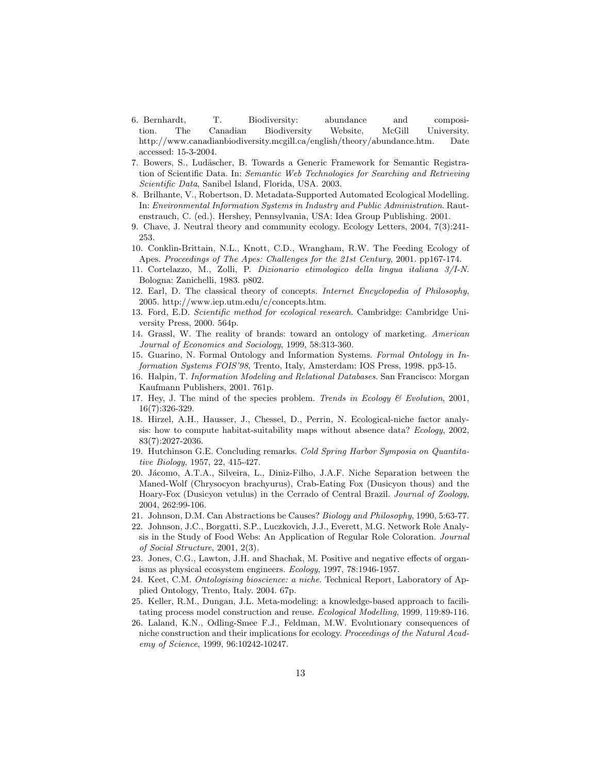- 6. Bernhardt, T. Biodiversity: abundance and composition. The Canadian Biodiversity Website, McGill University. http://www.canadianbiodiversity.mcgill.ca/english/theory/abundance.htm. Date accessed: 15-3-2004.
- 7. Bowers, S., Ludäscher, B. Towards a Generic Framework for Semantic Registration of Scientific Data. In: Semantic Web Technologies for Searching and Retrieving Scientific Data, Sanibel Island, Florida, USA. 2003.
- 8. Brilhante, V., Robertson, D. Metadata-Supported Automated Ecological Modelling. In: Environmental Information Systems in Industry and Public Administration. Rautenstrauch, C. (ed.). Hershey, Pennsylvania, USA: Idea Group Publishing. 2001.
- 9. Chave, J. Neutral theory and community ecology. Ecology Letters, 2004, 7(3):241- 253.
- 10. Conklin-Brittain, N.L., Knott, C.D., Wrangham, R.W. The Feeding Ecology of Apes. Proceedings of The Apes: Challenges for the 21st Century, 2001. pp167-174.
- 11. Cortelazzo, M., Zolli, P. Dizionario etimologico della lingua italiana 3/I-N. Bologna: Zanichelli, 1983. p802.
- 12. Earl, D. The classical theory of concepts. Internet Encyclopedia of Philosophy, 2005. http://www.iep.utm.edu/c/concepts.htm.
- 13. Ford, E.D. Scientific method for ecological research. Cambridge: Cambridge University Press, 2000. 564p.
- 14. Grassl, W. The reality of brands: toward an ontology of marketing. American Journal of Economics and Sociology, 1999, 58:313-360.
- 15. Guarino, N. Formal Ontology and Information Systems. Formal Ontology in Information Systems FOIS'98, Trento, Italy, Amsterdam: IOS Press, 1998. pp3-15.
- 16. Halpin, T. Information Modeling and Relational Databases. San Francisco: Morgan Kaufmann Publishers, 2001. 761p.
- 17. Hey, J. The mind of the species problem. Trends in Ecology  $\mathcal C$  Evolution, 2001, 16(7):326-329.
- 18. Hirzel, A.H., Hausser, J., Chessel, D., Perrin, N. Ecological-niche factor analysis: how to compute habitat-suitability maps without absence data? Ecology, 2002, 83(7):2027-2036.
- 19. Hutchinson G.E. Concluding remarks. Cold Spring Harbor Symposia on Quantitative Biology, 1957, 22, 415-427.
- 20. Jácomo, A.T.A., Silveira, L., Diniz-Filho, J.A.F. Niche Separation between the Maned-Wolf (Chrysocyon brachyurus), Crab-Eating Fox (Dusicyon thous) and the Hoary-Fox (Dusicyon vetulus) in the Cerrado of Central Brazil. Journal of Zoology, 2004, 262:99-106.
- 21. Johnson, D.M. Can Abstractions be Causes? Biology and Philosophy, 1990, 5:63-77.
- 22. Johnson, J.C., Borgatti, S.P., Luczkovich, J.J., Everett, M.G. Network Role Analysis in the Study of Food Webs: An Application of Regular Role Coloration. Journal of Social Structure, 2001, 2(3).
- 23. Jones, C.G., Lawton, J.H. and Shachak, M. Positive and negative effects of organisms as physical ecosystem engineers. Ecology, 1997, 78:1946-1957.
- 24. Keet, C.M. Ontologising bioscience: a niche. Technical Report, Laboratory of Applied Ontology, Trento, Italy. 2004. 67p.
- 25. Keller, R.M., Dungan, J.L. Meta-modeling: a knowledge-based approach to facilitating process model construction and reuse. Ecological Modelling, 1999, 119:89-116.
- 26. Laland, K.N., Odling-Smee F.J., Feldman, M.W. Evolutionary consequences of niche construction and their implications for ecology. Proceedings of the Natural Academy of Science, 1999, 96:10242-10247.